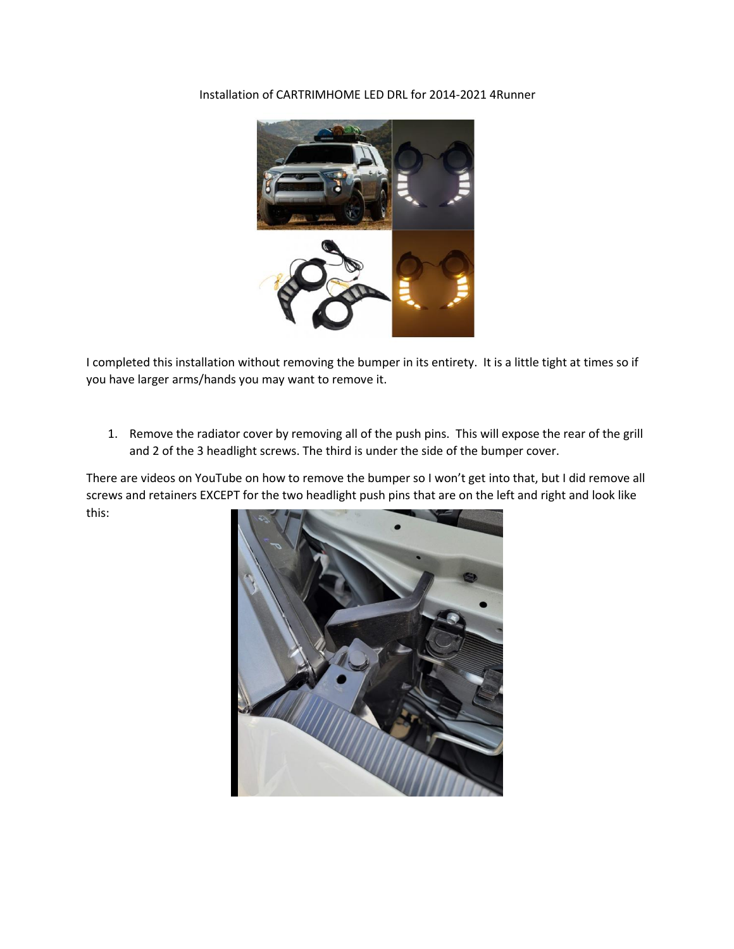Installation of CARTRIMHOME LED DRL for 2014-2021 4Runner



I completed this installation without removing the bumper in its entirety. It is a little tight at times so if you have larger arms/hands you may want to remove it.

1. Remove the radiator cover by removing all of the push pins. This will expose the rear of the grill and 2 of the 3 headlight screws. The third is under the side of the bumper cover.

There are videos on YouTube on how to remove the bumper so I won't get into that, but I did remove all screws and retainers EXCEPT for the two headlight push pins that are on the left and right and look like this:

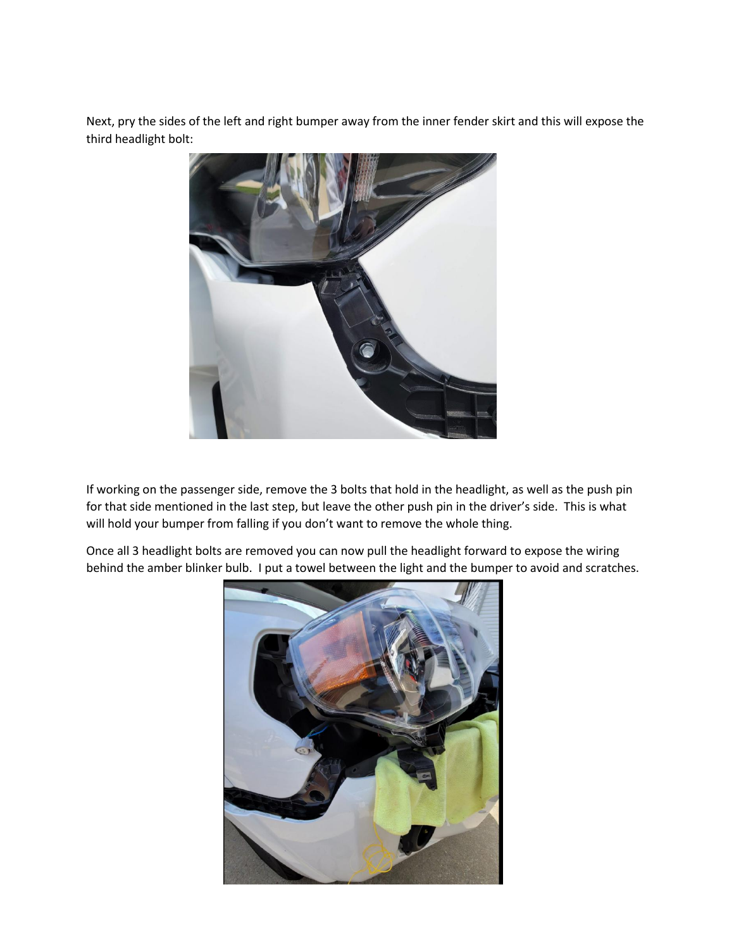Next, pry the sides of the left and right bumper away from the inner fender skirt and this will expose the third headlight bolt:



If working on the passenger side, remove the 3 bolts that hold in the headlight, as well as the push pin for that side mentioned in the last step, but leave the other push pin in the driver's side. This is what will hold your bumper from falling if you don't want to remove the whole thing.

Once all 3 headlight bolts are removed you can now pull the headlight forward to expose the wiring behind the amber blinker bulb. I put a towel between the light and the bumper to avoid and scratches.

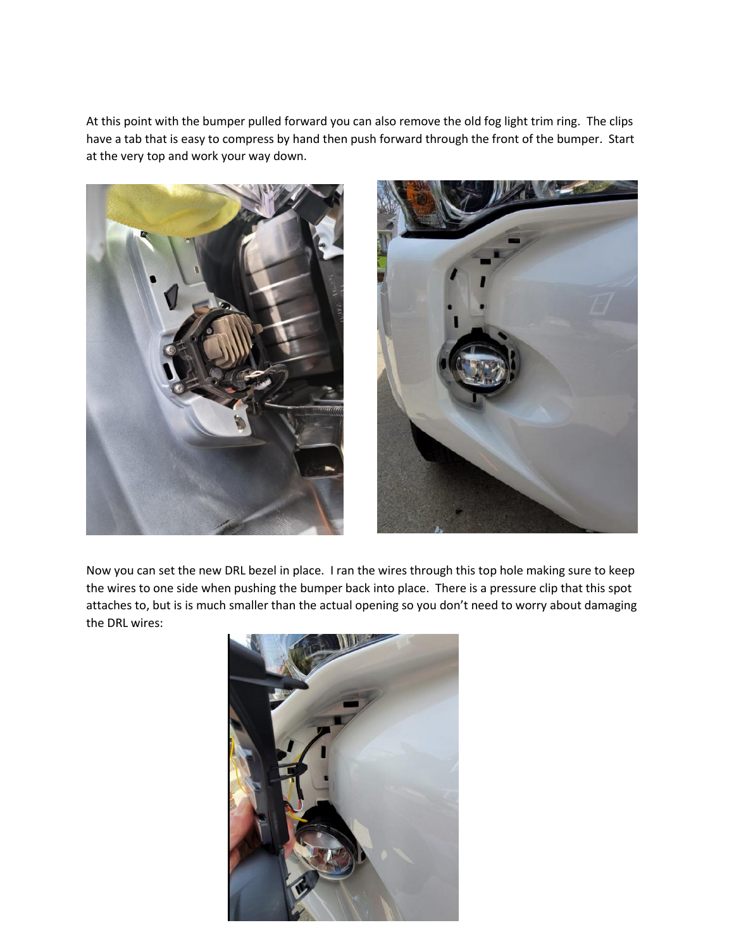At this point with the bumper pulled forward you can also remove the old fog light trim ring. The clips have a tab that is easy to compress by hand then push forward through the front of the bumper. Start at the very top and work your way down.



Now you can set the new DRL bezel in place. I ran the wires through this top hole making sure to keep the wires to one side when pushing the bumper back into place. There is a pressure clip that this spot attaches to, but is is much smaller than the actual opening so you don't need to worry about damaging the DRL wires:

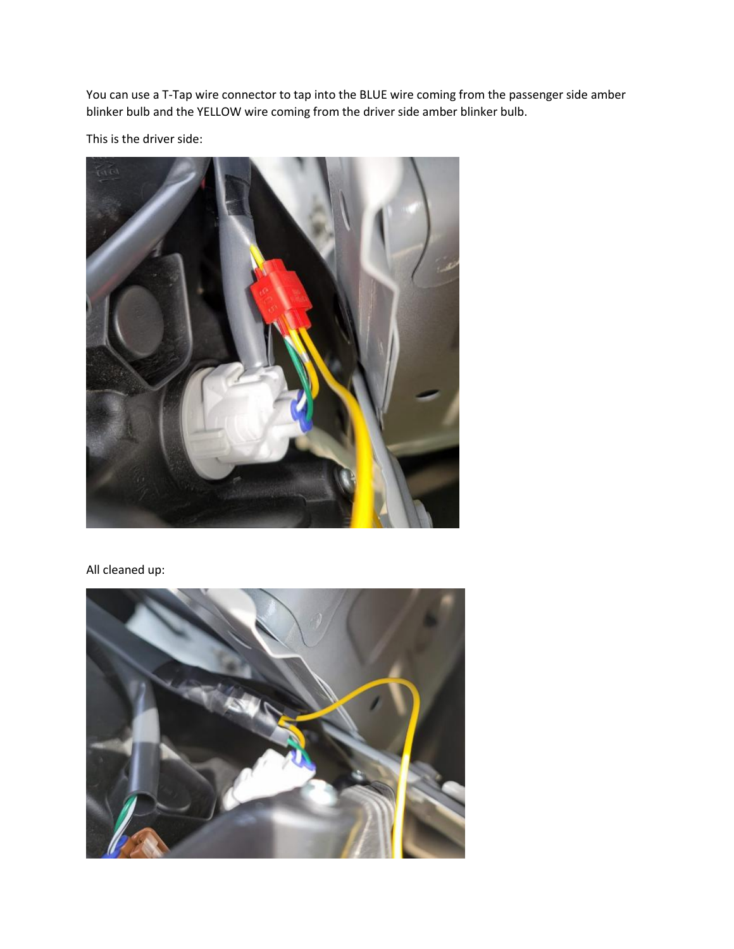You can use a T-Tap wire connector to tap into the BLUE wire coming from the passenger side amber blinker bulb and the YELLOW wire coming from the driver side amber blinker bulb.

This is the driver side:



All cleaned up:

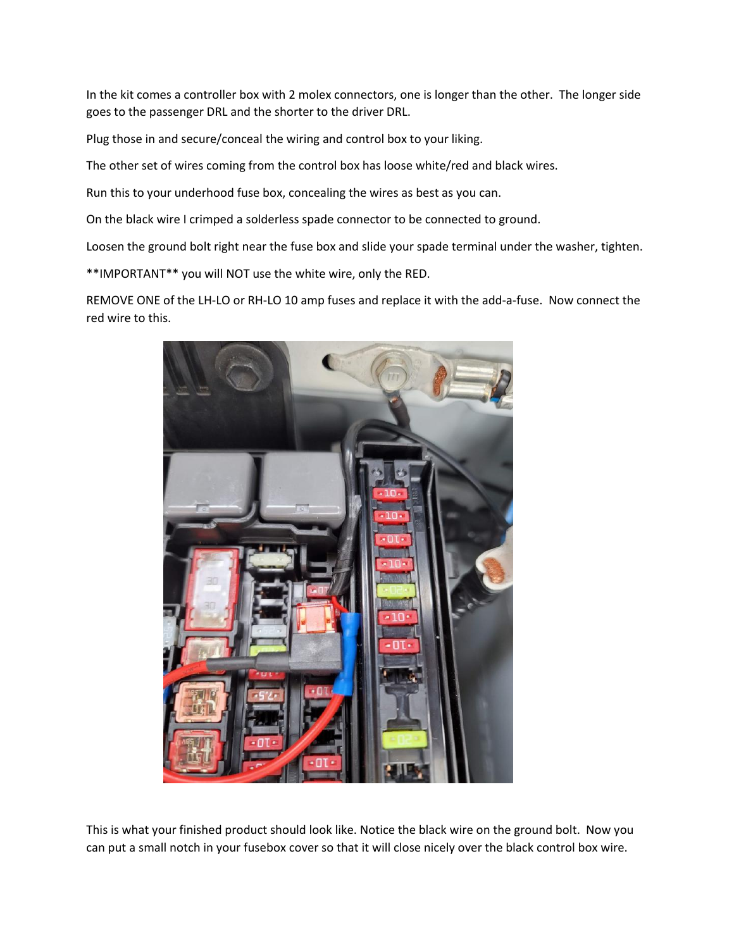In the kit comes a controller box with 2 molex connectors, one is longer than the other. The longer side goes to the passenger DRL and the shorter to the driver DRL.<br>Plug those in and secure/conceal the wiring and control box to your liking.

The other set of wires coming from the control box has loose white/red and black wires.

Run this to your underhood fuse box, concealing the wires as best as you can.

On the black wire I crimped a solderless spade connector to be connected to ground.

Loosen the ground bolt right near the fuse box and slide your spade terminal under the washer, tighten.

\*\*IMPORTANT\*\* you will NOT use the white wire, only the RED.

REMOVE ONE of the LH-LO or RH-LO 10 amp fuses and replace it with the add-a-fuse. Now connect the red wire to this.



This is what your finished product should look like. Notice the black wire on the ground bolt. Now you can put a small notch in your fusebox cover so that it will close nicely overthe black control box wire.